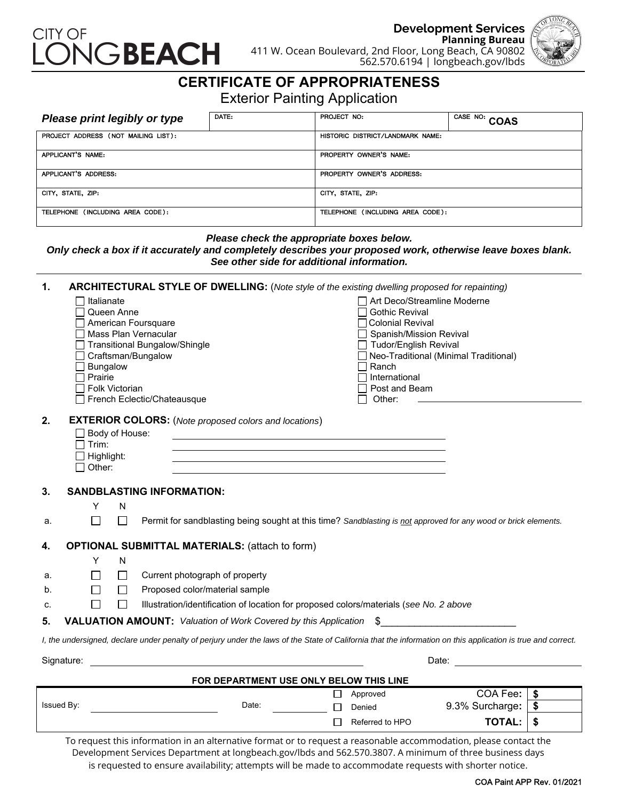

**Development Services Planning Bureau** 411 W. Ocean Boulevard, 2nd Floor, Long Beach, CA 90802 562.570.6194 | longbeach.gov/lbds



## **CERTIFICATE OF APPROPRIATENESS**

Exterior Painting Application

| Please print legibly or type        | DATE: | PROJECT NO:                      | I CASE NO: COAS |  |
|-------------------------------------|-------|----------------------------------|-----------------|--|
| PROJECT ADDRESS (NOT MAILING LIST): |       | HISTORIC DISTRICT/LANDMARK NAME: |                 |  |
| APPLICANT'S NAME:                   |       | PROPERTY OWNER'S NAME:           |                 |  |
| APPLICANT'S ADDRESS:                |       | PROPERTY OWNER'S ADDRESS:        |                 |  |
| CITY, STATE, ZIP:                   |       | CITY, STATE, ZIP:                |                 |  |
| TELEPHONE (INCLUDING AREA CODE):    |       | TELEPHONE (INCLUDING AREA CODE): |                 |  |

### *Please check the appropriate boxes below.*

*Only check a box if it accurately and completely describes your proposed work, otherwise leave boxes blank. See other side for additional information.* 

#### **1. ARCHITECTURAL STYLE OF DWELLING:** (*Note style of the existing dwelling proposed for repainting)*  $\Box$ Italianate  $\Box$ Italianate  $\Box$

|    | - 1 เนแนเนเนเ                                                                                                   |                                       |  |
|----|-----------------------------------------------------------------------------------------------------------------|---------------------------------------|--|
|    | □ Queen Anne                                                                                                    | □ Gothic Revival                      |  |
|    | American Foursquare                                                                                             | $\sqcap$ Colonial Revival             |  |
|    | Mass Plan Vernacular                                                                                            | Spanish/Mission Revival               |  |
|    | <b>Transitional Bungalow/Shingle</b>                                                                            | $\Box$ Tudor/English Revival          |  |
|    | Craftsman/Bungalow                                                                                              | Neo-Traditional (Minimal Traditional) |  |
|    | <b>Bungalow</b>                                                                                                 | Ranch                                 |  |
|    | Prairie                                                                                                         | I International                       |  |
|    | ∃ Folk Victorian                                                                                                | $\sqcap$ Post and Beam                |  |
|    | French Eclectic/Chateausque                                                                                     | Other:                                |  |
| 2. | <b>EXTERIOR COLORS:</b> (Note proposed colors and locations)<br>Body of House:<br>Trim:<br>$\exists$ Highlight: |                                       |  |
|    | Other:                                                                                                          |                                       |  |

### **3. SANDBLASTING INFORMATION:**

Y N

a. **Permit for sandblasting being sought at this time?** *Sandblasting is not approved for any wood or brick elements.* 

## **4. OPTIONAL SUBMITTAL MATERIALS:** (attach to form)

|  | $\Box$ Current photograph of property |
|--|---------------------------------------|

b.  $\Box$  Proposed color/material sample

## **5. VALUATION AMOUNT:** *Valuation of Work Covered by this Application* \$\_\_\_\_\_\_\_\_\_\_\_\_\_\_\_\_\_\_\_\_\_\_\_\_

*I, the undersigned, declare under penalty of perjury under the laws of the State of California that the information on this application is true and correct.*

| Signature: |                                                                                                                                                                                                                               |                 | Date:                |  |
|------------|-------------------------------------------------------------------------------------------------------------------------------------------------------------------------------------------------------------------------------|-----------------|----------------------|--|
|            | FOR DEPARTMENT USE ONLY BELOW THIS LINE                                                                                                                                                                                       |                 |                      |  |
|            |                                                                                                                                                                                                                               | Approved        | $COA$ Fee: $\vert \$ |  |
| Issued By: | Date:                                                                                                                                                                                                                         | Denied          | 9.3% Surcharge:      |  |
|            |                                                                                                                                                                                                                               | Referred to HPO | $TOTAL:$ $\vert$ \$  |  |
|            | To request this information in an alternative format or to request a reasonable accommodation, please contact the<br>Development Services Department at longbeach.gov/lbds and 562.570.3807. A minimum of three business days |                 |                      |  |

is requested to ensure availability; attempts will be made to accommodate requests with shorter notice.